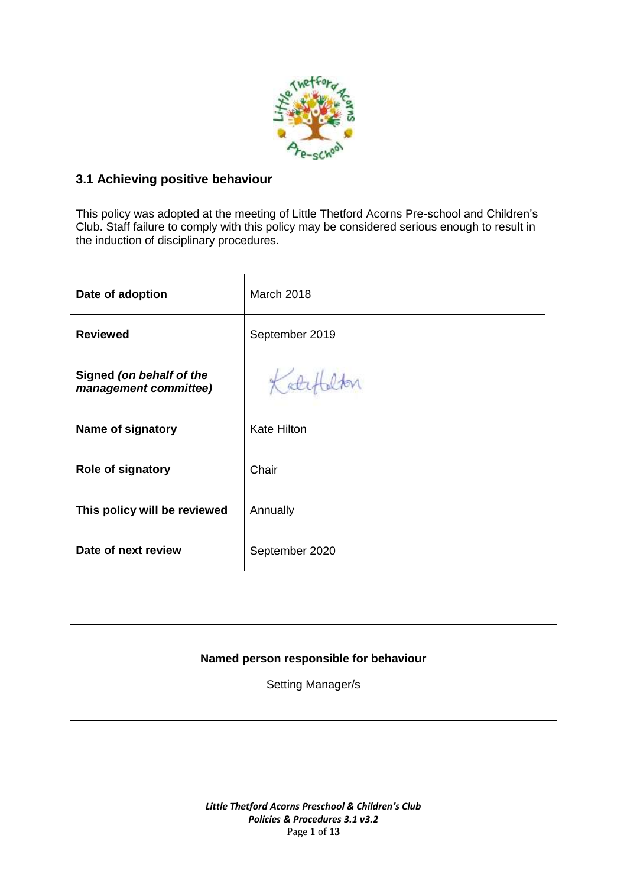

# **3.1 Achieving positive behaviour**

This policy was adopted at the meeting of Little Thetford Acorns Pre-school and Children's Club. Staff failure to comply with this policy may be considered serious enough to result in the induction of disciplinary procedures.

| Date of adoption                                  | <b>March 2018</b>  |
|---------------------------------------------------|--------------------|
| <b>Reviewed</b>                                   | September 2019     |
| Signed (on behalf of the<br>management committee) |                    |
| Name of signatory                                 | <b>Kate Hilton</b> |
| Role of signatory                                 | Chair              |
| This policy will be reviewed                      | Annually           |
| Date of next review                               | September 2020     |

# **Named person responsible for behaviour**

Setting Manager/s

*Little Thetford Acorns Preschool & Children's Club Policies & Procedures 3.1 v3.2* Page **1** of **13**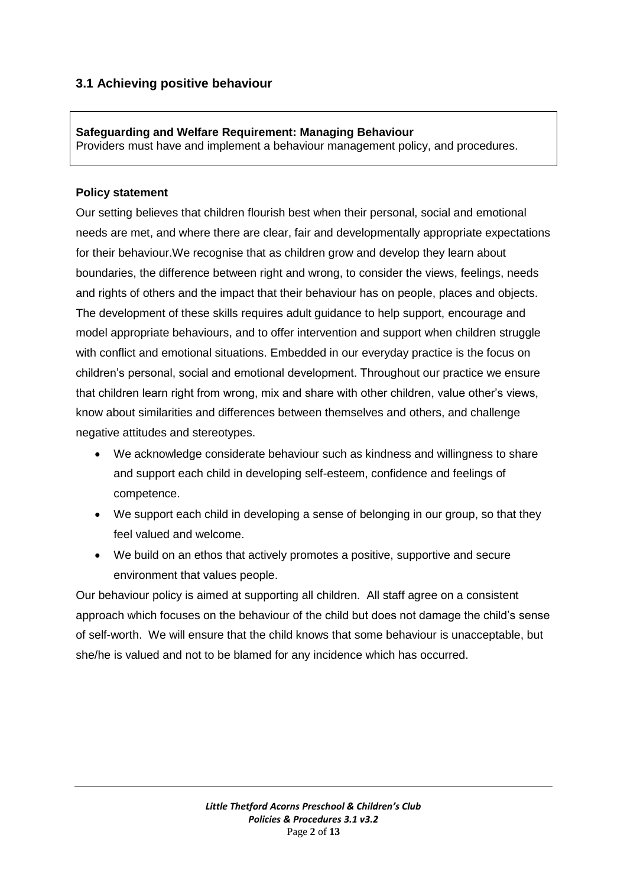# **3.1 Achieving positive behaviour**

**Safeguarding and Welfare Requirement: Managing Behaviour**  Providers must have and implement a behaviour management policy, and procedures.

#### **Policy statement**

Our setting believes that children flourish best when their personal, social and emotional needs are met, and where there are clear, fair and developmentally appropriate expectations for their behaviour.We recognise that as children grow and develop they learn about boundaries, the difference between right and wrong, to consider the views, feelings, needs and rights of others and the impact that their behaviour has on people, places and objects. The development of these skills requires adult guidance to help support, encourage and model appropriate behaviours, and to offer intervention and support when children struggle with conflict and emotional situations. Embedded in our everyday practice is the focus on children's personal, social and emotional development. Throughout our practice we ensure that children learn right from wrong, mix and share with other children, value other's views, know about similarities and differences between themselves and others, and challenge negative attitudes and stereotypes.

- We acknowledge considerate behaviour such as kindness and willingness to share and support each child in developing self-esteem, confidence and feelings of competence.
- We support each child in developing a sense of belonging in our group, so that they feel valued and welcome.
- We build on an ethos that actively promotes a positive, supportive and secure environment that values people.

Our behaviour policy is aimed at supporting all children. All staff agree on a consistent approach which focuses on the behaviour of the child but does not damage the child's sense of self-worth. We will ensure that the child knows that some behaviour is unacceptable, but she/he is valued and not to be blamed for any incidence which has occurred.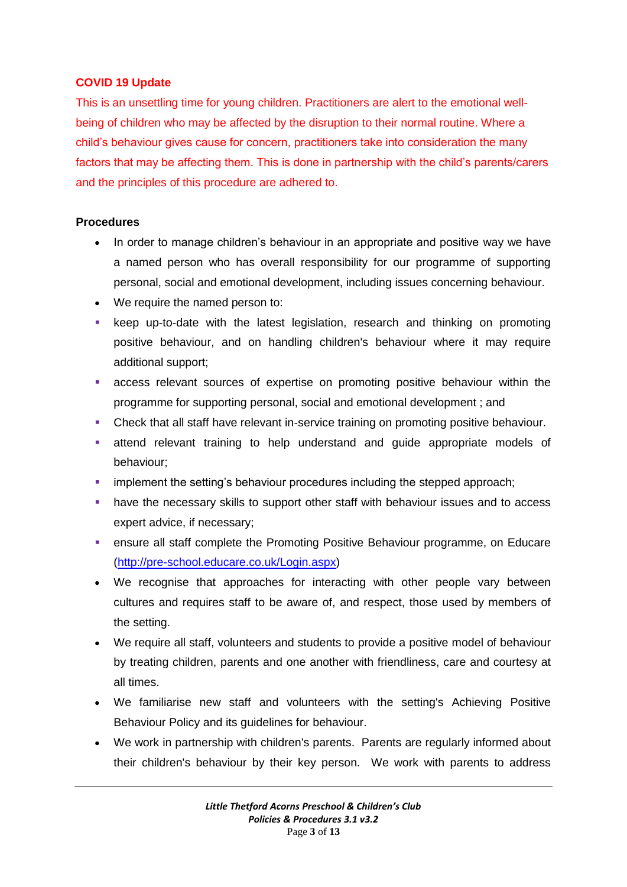# **COVID 19 Update**

This is an unsettling time for young children. Practitioners are alert to the emotional wellbeing of children who may be affected by the disruption to their normal routine. Where a child's behaviour gives cause for concern, practitioners take into consideration the many factors that may be affecting them. This is done in partnership with the child's parents/carers and the principles of this procedure are adhered to.

# **Procedures**

- In order to manage children's behaviour in an appropriate and positive way we have a named person who has overall responsibility for our programme of supporting personal, social and emotional development, including issues concerning behaviour.
- We require the named person to:
- keep up-to-date with the latest legislation, research and thinking on promoting positive behaviour, and on handling children's behaviour where it may require additional support;
- access relevant sources of expertise on promoting positive behaviour within the programme for supporting personal, social and emotional development ; and
- Check that all staff have relevant in-service training on promoting positive behaviour.
- attend relevant training to help understand and guide appropriate models of behaviour;
- implement the setting's behaviour procedures including the stepped approach;
- have the necessary skills to support other staff with behaviour issues and to access expert advice, if necessary;
- ensure all staff complete the Promoting Positive Behaviour programme, on Educare [\(http://pre-school.educare.co.uk/Login.aspx\)](http://pre-school.educare.co.uk/Login.aspx)
- We recognise that approaches for interacting with other people vary between cultures and requires staff to be aware of, and respect, those used by members of the setting.
- We require all staff, volunteers and students to provide a positive model of behaviour by treating children, parents and one another with friendliness, care and courtesy at all times.
- We familiarise new staff and volunteers with the setting's Achieving Positive Behaviour Policy and its guidelines for behaviour.
- We work in partnership with children's parents. Parents are regularly informed about their children's behaviour by their key person. We work with parents to address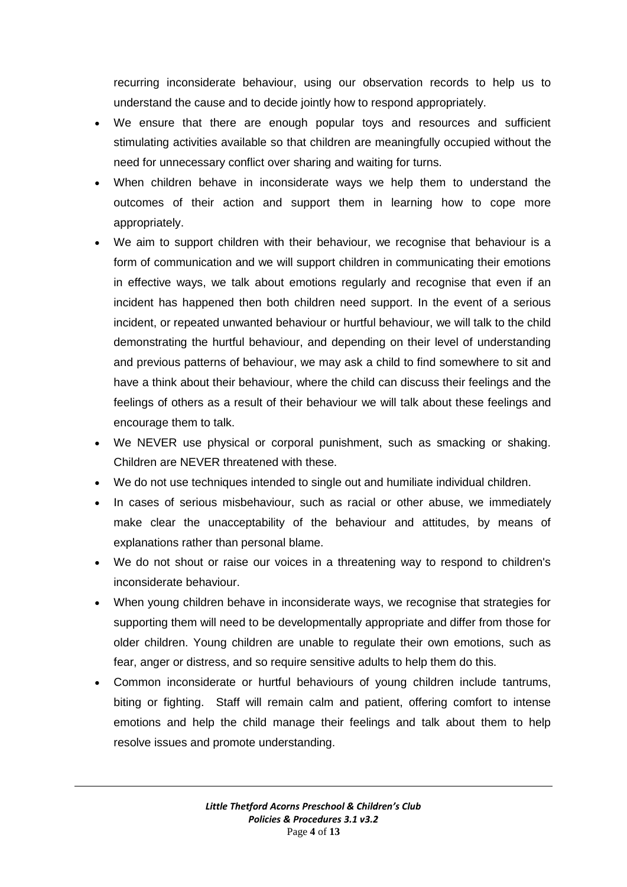recurring inconsiderate behaviour, using our observation records to help us to understand the cause and to decide jointly how to respond appropriately.

- We ensure that there are enough popular toys and resources and sufficient stimulating activities available so that children are meaningfully occupied without the need for unnecessary conflict over sharing and waiting for turns.
- When children behave in inconsiderate ways we help them to understand the outcomes of their action and support them in learning how to cope more appropriately.
- We aim to support children with their behaviour, we recognise that behaviour is a form of communication and we will support children in communicating their emotions in effective ways, we talk about emotions regularly and recognise that even if an incident has happened then both children need support. In the event of a serious incident, or repeated unwanted behaviour or hurtful behaviour, we will talk to the child demonstrating the hurtful behaviour, and depending on their level of understanding and previous patterns of behaviour, we may ask a child to find somewhere to sit and have a think about their behaviour, where the child can discuss their feelings and the feelings of others as a result of their behaviour we will talk about these feelings and encourage them to talk.
- We NEVER use physical or corporal punishment, such as smacking or shaking. Children are NEVER threatened with these.
- We do not use techniques intended to single out and humiliate individual children.
- In cases of serious misbehaviour, such as racial or other abuse, we immediately make clear the unacceptability of the behaviour and attitudes, by means of explanations rather than personal blame.
- We do not shout or raise our voices in a threatening way to respond to children's inconsiderate behaviour.
- When young children behave in inconsiderate ways, we recognise that strategies for supporting them will need to be developmentally appropriate and differ from those for older children. Young children are unable to regulate their own emotions, such as fear, anger or distress, and so require sensitive adults to help them do this.
- Common inconsiderate or hurtful behaviours of young children include tantrums, biting or fighting. Staff will remain calm and patient, offering comfort to intense emotions and help the child manage their feelings and talk about them to help resolve issues and promote understanding.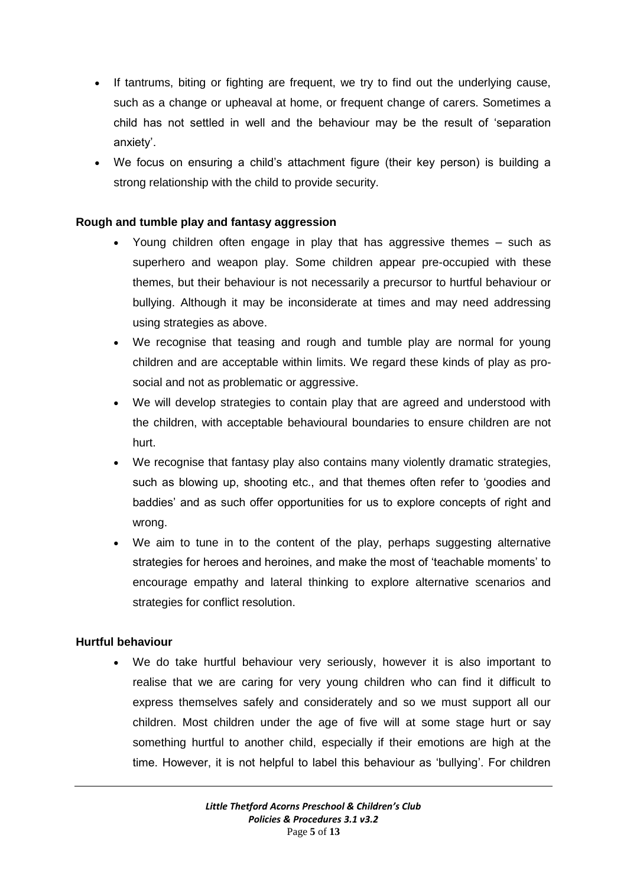- If tantrums, biting or fighting are frequent, we try to find out the underlying cause, such as a change or upheaval at home, or frequent change of carers. Sometimes a child has not settled in well and the behaviour may be the result of 'separation anxiety'.
- We focus on ensuring a child's attachment figure (their key person) is building a strong relationship with the child to provide security.

# **Rough and tumble play and fantasy aggression**

- Young children often engage in play that has aggressive themes such as superhero and weapon play. Some children appear pre-occupied with these themes, but their behaviour is not necessarily a precursor to hurtful behaviour or bullying. Although it may be inconsiderate at times and may need addressing using strategies as above.
- We recognise that teasing and rough and tumble play are normal for young children and are acceptable within limits. We regard these kinds of play as prosocial and not as problematic or aggressive.
- We will develop strategies to contain play that are agreed and understood with the children, with acceptable behavioural boundaries to ensure children are not hurt.
- We recognise that fantasy play also contains many violently dramatic strategies, such as blowing up, shooting etc., and that themes often refer to 'goodies and baddies' and as such offer opportunities for us to explore concepts of right and wrong.
- We aim to tune in to the content of the play, perhaps suggesting alternative strategies for heroes and heroines, and make the most of 'teachable moments' to encourage empathy and lateral thinking to explore alternative scenarios and strategies for conflict resolution.

#### **Hurtful behaviour**

 We do take hurtful behaviour very seriously, however it is also important to realise that we are caring for very young children who can find it difficult to express themselves safely and considerately and so we must support all our children. Most children under the age of five will at some stage hurt or say something hurtful to another child, especially if their emotions are high at the time. However, it is not helpful to label this behaviour as 'bullying'. For children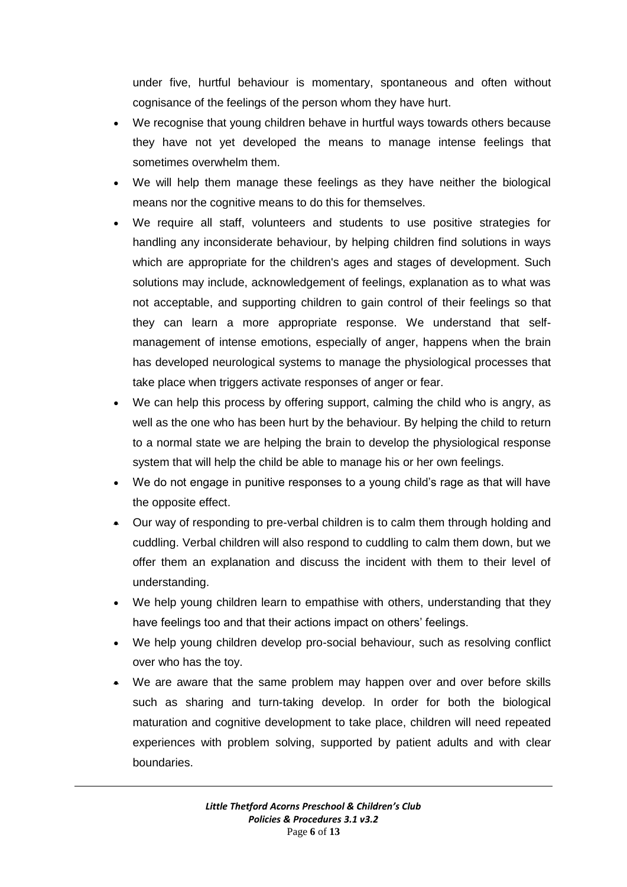under five, hurtful behaviour is momentary, spontaneous and often without cognisance of the feelings of the person whom they have hurt.

- We recognise that young children behave in hurtful ways towards others because they have not yet developed the means to manage intense feelings that sometimes overwhelm them.
- We will help them manage these feelings as they have neither the biological means nor the cognitive means to do this for themselves.
- We require all staff, volunteers and students to use positive strategies for handling any inconsiderate behaviour, by helping children find solutions in ways which are appropriate for the children's ages and stages of development. Such solutions may include, acknowledgement of feelings, explanation as to what was not acceptable, and supporting children to gain control of their feelings so that they can learn a more appropriate response. We understand that selfmanagement of intense emotions, especially of anger, happens when the brain has developed neurological systems to manage the physiological processes that take place when triggers activate responses of anger or fear.
- We can help this process by offering support, calming the child who is angry, as well as the one who has been hurt by the behaviour. By helping the child to return to a normal state we are helping the brain to develop the physiological response system that will help the child be able to manage his or her own feelings.
- We do not engage in punitive responses to a young child's rage as that will have the opposite effect.
- Our way of responding to pre-verbal children is to calm them through holding and cuddling. Verbal children will also respond to cuddling to calm them down, but we offer them an explanation and discuss the incident with them to their level of understanding.
- We help young children learn to empathise with others, understanding that they have feelings too and that their actions impact on others' feelings.
- We help young children develop pro-social behaviour, such as resolving conflict over who has the toy.
- We are aware that the same problem may happen over and over before skills such as sharing and turn-taking develop. In order for both the biological maturation and cognitive development to take place, children will need repeated experiences with problem solving, supported by patient adults and with clear boundaries.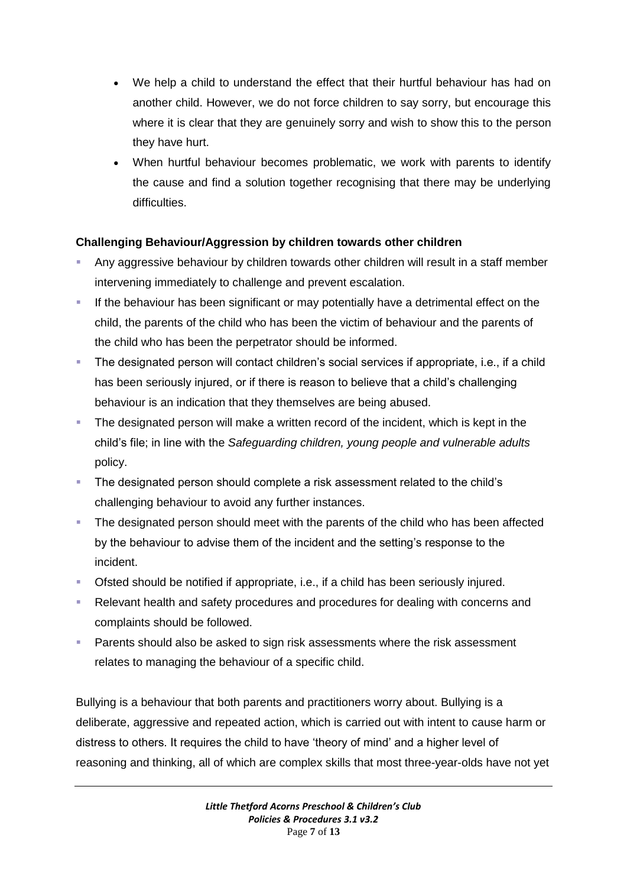- We help a child to understand the effect that their hurtful behaviour has had on another child. However, we do not force children to say sorry, but encourage this where it is clear that they are genuinely sorry and wish to show this to the person they have hurt.
- When hurtful behaviour becomes problematic, we work with parents to identify the cause and find a solution together recognising that there may be underlying difficulties.

# **Challenging Behaviour/Aggression by children towards other children**

- Any aggressive behaviour by children towards other children will result in a staff member intervening immediately to challenge and prevent escalation.
- If the behaviour has been significant or may potentially have a detrimental effect on the child, the parents of the child who has been the victim of behaviour and the parents of the child who has been the perpetrator should be informed.
- The designated person will contact children's social services if appropriate, i.e., if a child has been seriously injured, or if there is reason to believe that a child's challenging behaviour is an indication that they themselves are being abused.
- The designated person will make a written record of the incident, which is kept in the child's file; in line with the *Safeguarding children, young people and vulnerable adults* policy.
- The designated person should complete a risk assessment related to the child's challenging behaviour to avoid any further instances.
- The designated person should meet with the parents of the child who has been affected by the behaviour to advise them of the incident and the setting's response to the incident.
- Ofsted should be notified if appropriate, i.e., if a child has been seriously injured.
- Relevant health and safety procedures and procedures for dealing with concerns and complaints should be followed.
- Parents should also be asked to sign risk assessments where the risk assessment relates to managing the behaviour of a specific child.

Bullying is a behaviour that both parents and practitioners worry about. Bullying is a deliberate, aggressive and repeated action, which is carried out with intent to cause harm or distress to others. It requires the child to have 'theory of mind' and a higher level of reasoning and thinking, all of which are complex skills that most three-year-olds have not yet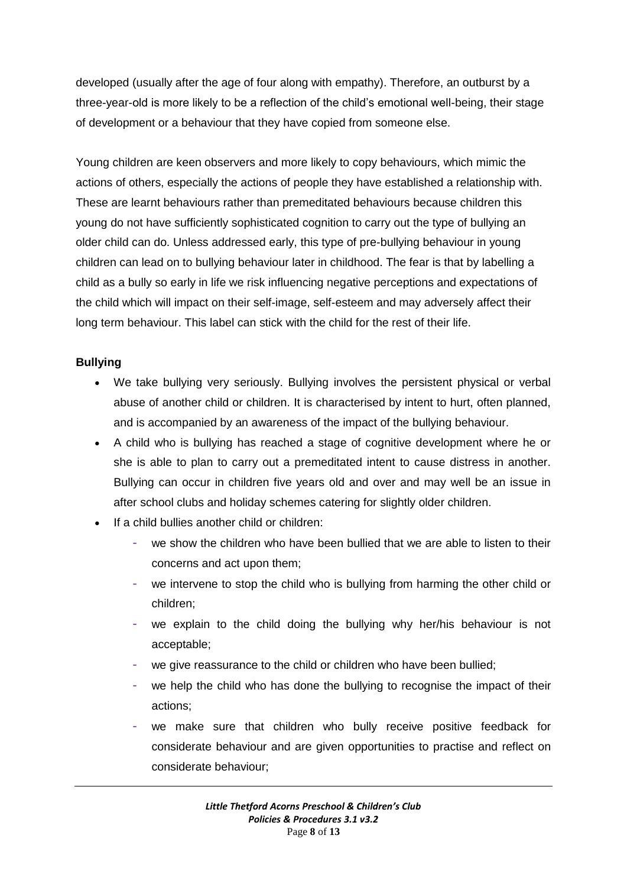developed (usually after the age of four along with empathy). Therefore, an outburst by a three-year-old is more likely to be a reflection of the child's emotional well-being, their stage of development or a behaviour that they have copied from someone else.

Young children are keen observers and more likely to copy behaviours, which mimic the actions of others, especially the actions of people they have established a relationship with. These are learnt behaviours rather than premeditated behaviours because children this young do not have sufficiently sophisticated cognition to carry out the type of bullying an older child can do. Unless addressed early, this type of pre-bullying behaviour in young children can lead on to bullying behaviour later in childhood. The fear is that by labelling a child as a bully so early in life we risk influencing negative perceptions and expectations of the child which will impact on their self-image, self-esteem and may adversely affect their long term behaviour. This label can stick with the child for the rest of their life.

# **Bullying**

- We take bullying very seriously. Bullying involves the persistent physical or verbal abuse of another child or children. It is characterised by intent to hurt, often planned, and is accompanied by an awareness of the impact of the bullying behaviour.
- A child who is bullying has reached a stage of cognitive development where he or she is able to plan to carry out a premeditated intent to cause distress in another. Bullying can occur in children five years old and over and may well be an issue in after school clubs and holiday schemes catering for slightly older children.
- If a child bullies another child or children:
	- we show the children who have been bullied that we are able to listen to their concerns and act upon them;
	- we intervene to stop the child who is bullying from harming the other child or children;
	- we explain to the child doing the bullying why her/his behaviour is not acceptable;
	- we give reassurance to the child or children who have been bullied;
	- we help the child who has done the bullying to recognise the impact of their actions;
	- we make sure that children who bully receive positive feedback for considerate behaviour and are given opportunities to practise and reflect on considerate behaviour;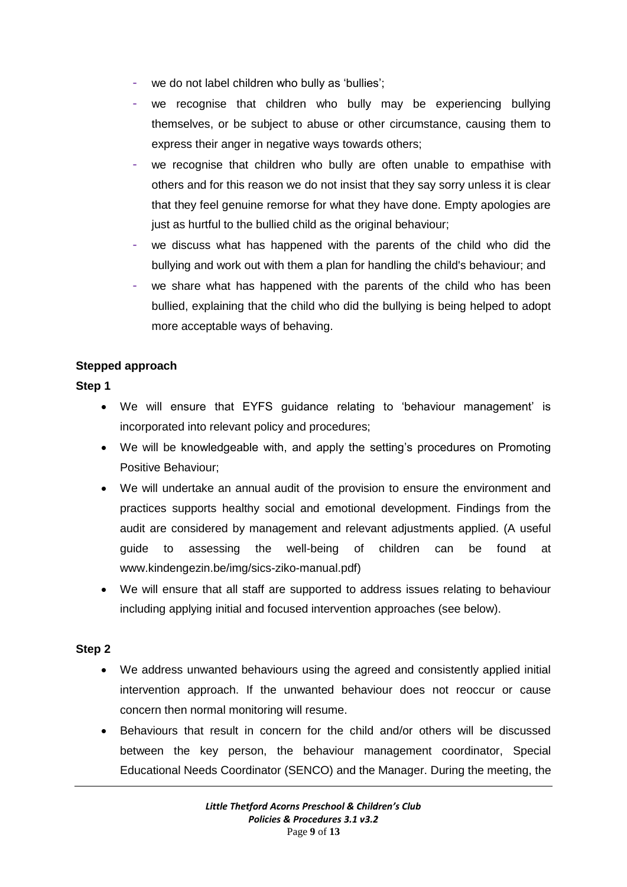- we do not label children who bully as 'bullies';
- we recognise that children who bully may be experiencing bullying themselves, or be subject to abuse or other circumstance, causing them to express their anger in negative ways towards others;
- we recognise that children who bully are often unable to empathise with others and for this reason we do not insist that they say sorry unless it is clear that they feel genuine remorse for what they have done. Empty apologies are just as hurtful to the bullied child as the original behaviour;
- we discuss what has happened with the parents of the child who did the bullying and work out with them a plan for handling the child's behaviour; and
- we share what has happened with the parents of the child who has been bullied, explaining that the child who did the bullying is being helped to adopt more acceptable ways of behaving.

#### **Stepped approach**

#### **Step 1**

- We will ensure that EYFS guidance relating to 'behaviour management' is incorporated into relevant policy and procedures;
- We will be knowledgeable with, and apply the setting's procedures on Promoting Positive Behaviour;
- We will undertake an annual audit of the provision to ensure the environment and practices supports healthy social and emotional development. Findings from the audit are considered by management and relevant adjustments applied. (A useful guide to assessing the well-being of children can be found at www.kindengezin.be/img/sics-ziko-manual.pdf)
- We will ensure that all staff are supported to address issues relating to behaviour including applying initial and focused intervention approaches (see below).

# **Step 2**

- We address unwanted behaviours using the agreed and consistently applied initial intervention approach. If the unwanted behaviour does not reoccur or cause concern then normal monitoring will resume.
- Behaviours that result in concern for the child and/or others will be discussed between the key person, the behaviour management coordinator, Special Educational Needs Coordinator (SENCO) and the Manager. During the meeting, the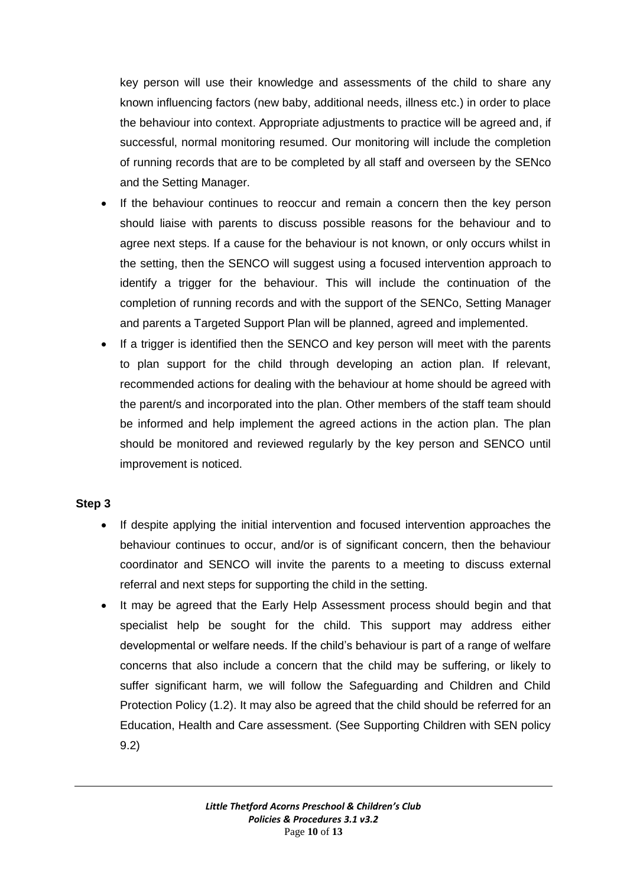key person will use their knowledge and assessments of the child to share any known influencing factors (new baby, additional needs, illness etc.) in order to place the behaviour into context. Appropriate adjustments to practice will be agreed and, if successful, normal monitoring resumed. Our monitoring will include the completion of running records that are to be completed by all staff and overseen by the SENco and the Setting Manager.

- If the behaviour continues to reoccur and remain a concern then the key person should liaise with parents to discuss possible reasons for the behaviour and to agree next steps. If a cause for the behaviour is not known, or only occurs whilst in the setting, then the SENCO will suggest using a focused intervention approach to identify a trigger for the behaviour. This will include the continuation of the completion of running records and with the support of the SENCo, Setting Manager and parents a Targeted Support Plan will be planned, agreed and implemented.
- If a trigger is identified then the SENCO and key person will meet with the parents to plan support for the child through developing an action plan. If relevant, recommended actions for dealing with the behaviour at home should be agreed with the parent/s and incorporated into the plan. Other members of the staff team should be informed and help implement the agreed actions in the action plan. The plan should be monitored and reviewed regularly by the key person and SENCO until improvement is noticed.

# **Step 3**

- If despite applying the initial intervention and focused intervention approaches the behaviour continues to occur, and/or is of significant concern, then the behaviour coordinator and SENCO will invite the parents to a meeting to discuss external referral and next steps for supporting the child in the setting.
- It may be agreed that the Early Help Assessment process should begin and that specialist help be sought for the child. This support may address either developmental or welfare needs. If the child's behaviour is part of a range of welfare concerns that also include a concern that the child may be suffering, or likely to suffer significant harm, we will follow the Safeguarding and Children and Child Protection Policy (1.2). It may also be agreed that the child should be referred for an Education, Health and Care assessment. (See Supporting Children with SEN policy 9.2)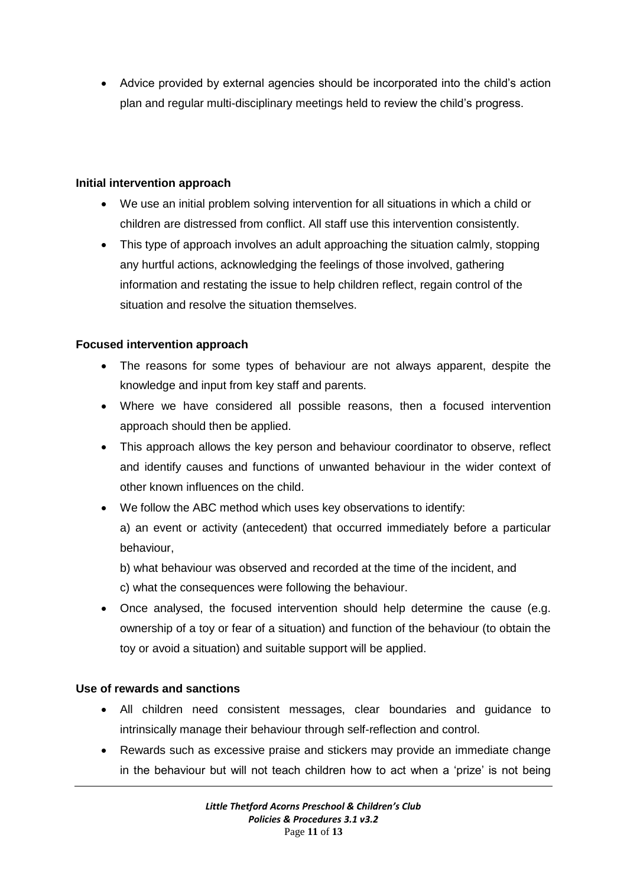Advice provided by external agencies should be incorporated into the child's action plan and regular multi-disciplinary meetings held to review the child's progress.

#### **Initial intervention approach**

- We use an initial problem solving intervention for all situations in which a child or children are distressed from conflict. All staff use this intervention consistently.
- This type of approach involves an adult approaching the situation calmly, stopping any hurtful actions, acknowledging the feelings of those involved, gathering information and restating the issue to help children reflect, regain control of the situation and resolve the situation themselves.

# **Focused intervention approach**

- The reasons for some types of behaviour are not always apparent, despite the knowledge and input from key staff and parents.
- Where we have considered all possible reasons, then a focused intervention approach should then be applied.
- This approach allows the key person and behaviour coordinator to observe, reflect and identify causes and functions of unwanted behaviour in the wider context of other known influences on the child.
- We follow the ABC method which uses key observations to identify:

a) an event or activity (antecedent) that occurred immediately before a particular behaviour,

b) what behaviour was observed and recorded at the time of the incident, and c) what the consequences were following the behaviour.

 Once analysed, the focused intervention should help determine the cause (e.g. ownership of a toy or fear of a situation) and function of the behaviour (to obtain the toy or avoid a situation) and suitable support will be applied.

# **Use of rewards and sanctions**

- All children need consistent messages, clear boundaries and guidance to intrinsically manage their behaviour through self-reflection and control.
- Rewards such as excessive praise and stickers may provide an immediate change in the behaviour but will not teach children how to act when a 'prize' is not being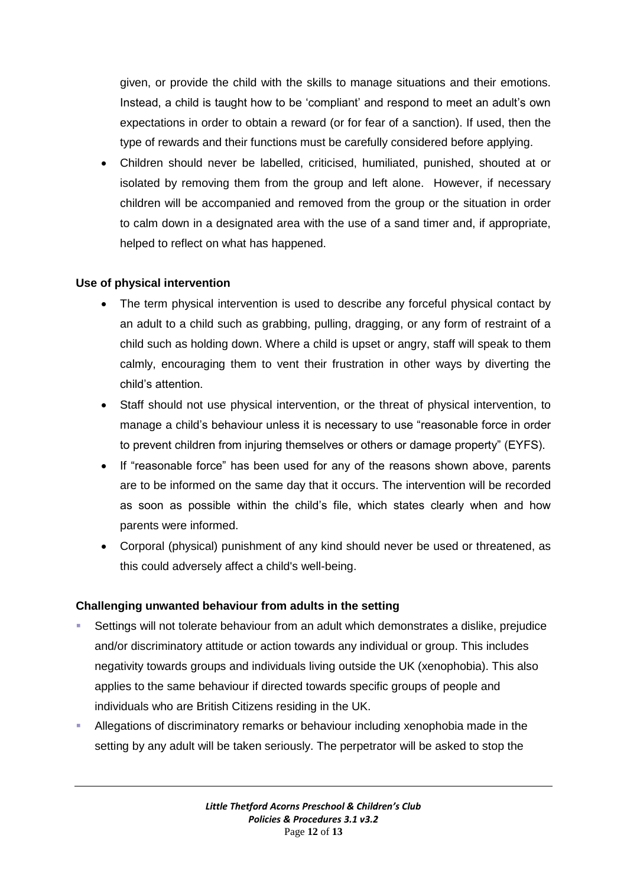given, or provide the child with the skills to manage situations and their emotions. Instead, a child is taught how to be 'compliant' and respond to meet an adult's own expectations in order to obtain a reward (or for fear of a sanction). If used, then the type of rewards and their functions must be carefully considered before applying.

 Children should never be labelled, criticised, humiliated, punished, shouted at or isolated by removing them from the group and left alone. However, if necessary children will be accompanied and removed from the group or the situation in order to calm down in a designated area with the use of a sand timer and, if appropriate, helped to reflect on what has happened.

#### **Use of physical intervention**

- The term physical intervention is used to describe any forceful physical contact by an adult to a child such as grabbing, pulling, dragging, or any form of restraint of a child such as holding down. Where a child is upset or angry, staff will speak to them calmly, encouraging them to vent their frustration in other ways by diverting the child's attention.
- Staff should not use physical intervention, or the threat of physical intervention, to manage a child's behaviour unless it is necessary to use "reasonable force in order to prevent children from injuring themselves or others or damage property" (EYFS).
- If "reasonable force" has been used for any of the reasons shown above, parents are to be informed on the same day that it occurs. The intervention will be recorded as soon as possible within the child's file, which states clearly when and how parents were informed.
- Corporal (physical) punishment of any kind should never be used or threatened, as this could adversely affect a child's well-being.

# **Challenging unwanted behaviour from adults in the setting**

- Settings will not tolerate behaviour from an adult which demonstrates a dislike, prejudice and/or discriminatory attitude or action towards any individual or group. This includes negativity towards groups and individuals living outside the UK (xenophobia). This also applies to the same behaviour if directed towards specific groups of people and individuals who are British Citizens residing in the UK.
- Allegations of discriminatory remarks or behaviour including xenophobia made in the setting by any adult will be taken seriously. The perpetrator will be asked to stop the